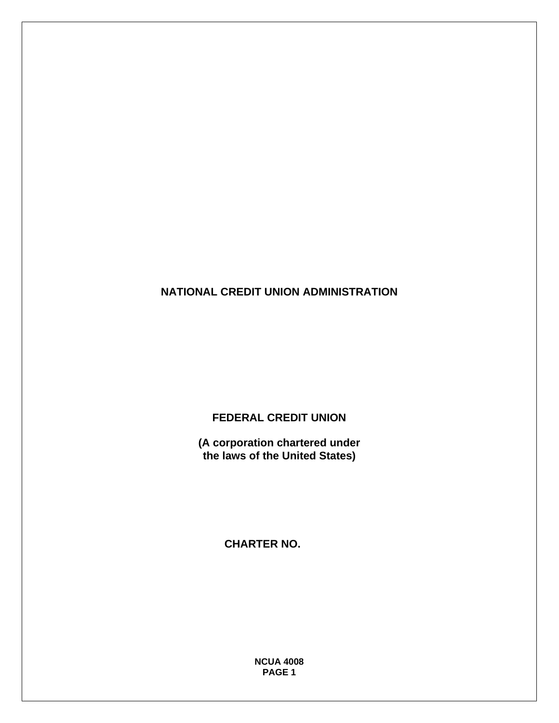**NATIONAL CREDIT UNION ADMINISTRATION** 

**FEDERAL CREDIT UNION** 

**(A corporation chartered under the laws of the United States)** 

 **CHARTER NO.** 

**NCUA 4008 PAGE 1**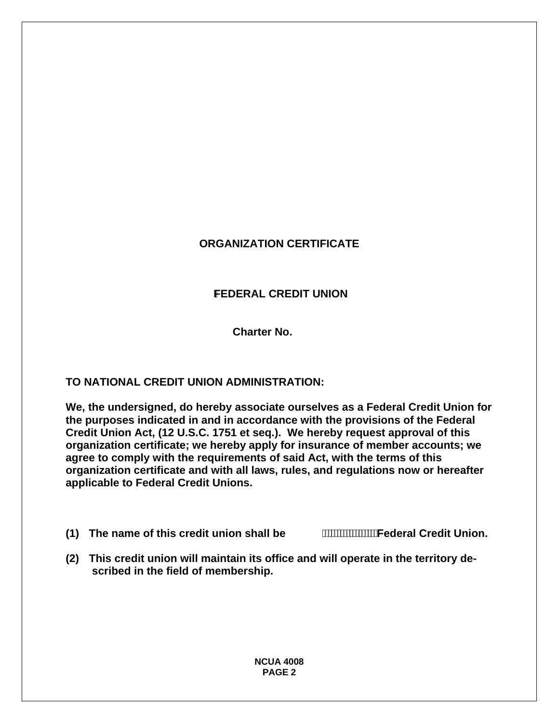## **ORGANIZATION CERTIFICATE**

### **FEDERAL CREDIT UNION**

**Charter No.** 

#### **TO NATIONAL CREDIT UNION ADMINISTRATION:**

**We, the undersigned, do hereby associate ourselves as a Federal Credit Union for the purposes indicated in and in accordance with the provisions of the Federal Credit Union Act, (12 U.S.C. 1751 et seq.). We hereby request approval of this organization certificate; we hereby apply for insurance of member accounts; we agree to comply with the requirements of said Act, with the terms of this organization certificate and with all laws, rules, and regulations now or hereafter applicable to Federal Credit Unions.** 

**(1) The name of this credit union shall be Federal Credit Union.** 

**(2) This credit union will maintain its office and will operate in the territory described in the field of membership.**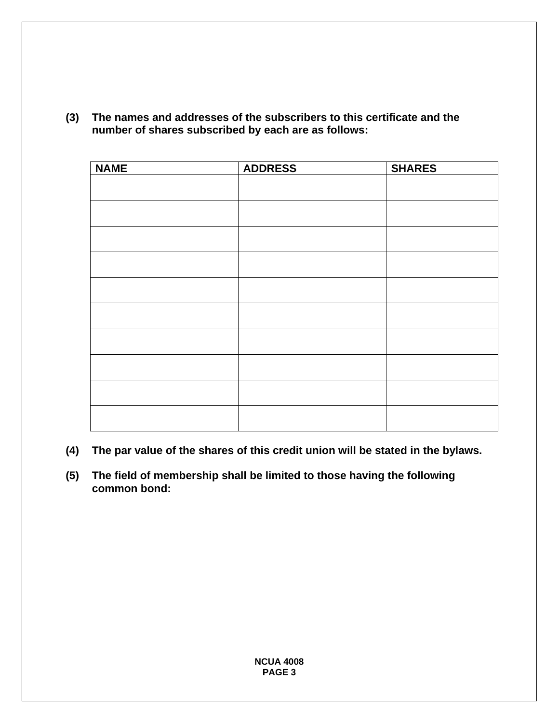| <b>NAME</b> | <b>ADDRESS</b> | <b>SHARES</b> |
|-------------|----------------|---------------|
|             |                |               |
|             |                |               |
|             |                |               |
|             |                |               |
|             |                |               |
|             |                |               |
|             |                |               |
|             |                |               |
|             |                |               |
|             |                |               |
|             |                |               |
|             |                |               |
|             |                |               |
|             |                |               |
|             |                |               |
|             |                |               |
|             |                |               |

**(3) The names and addresses of the subscribers to this certificate and the number of shares subscribed by each are as follows:** 

- **(4) The par value of the shares of this credit union will be stated in the bylaws.**
- **(5) The field of membership shall be limited to those having the following common bond:**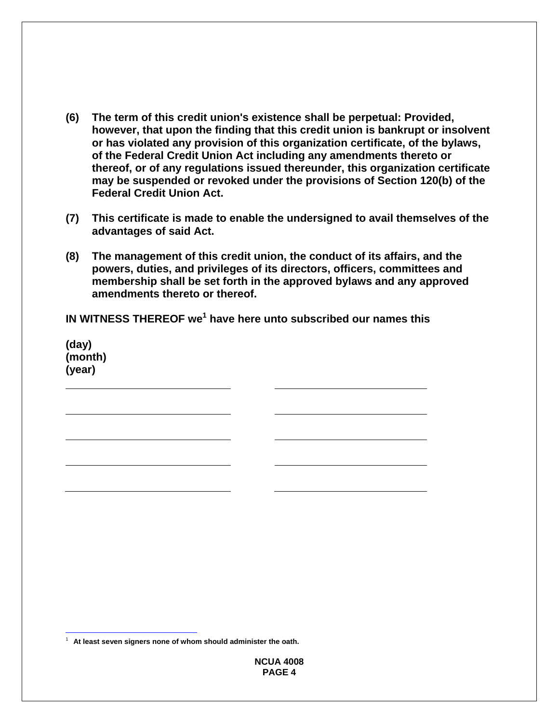- **(6) The term of this credit union's existence shall be perpetual: Provided, however, that upon the finding that this credit union is bankrupt or insolvent or has violated any provision of this organization certificate, of the bylaws, of the Federal Credit Union Act including any amendments thereto or thereof, or of any regulations issued thereunder, this organization certificate may be suspended or revoked under the provisions of Section 120(b) of the Federal Credit Union Act.**
- **(7) This certificate is made to enable the undersigned to avail themselves of the advantages of said Act.**
- **(8) The management of this credit union, the conduct of its affairs, and the powers, duties, and privileges of its directors, officers, committees and membership shall be set forth in the approved bylaws and any approved amendments thereto or thereof.**

IN WITNESS THEREOF we<sup>1</sup> have here unto subscribed our names this

 **(day) (month) (year)** 

 $\overline{a}$ <sup>1</sup> At least seven signers none of whom should administer the oath.